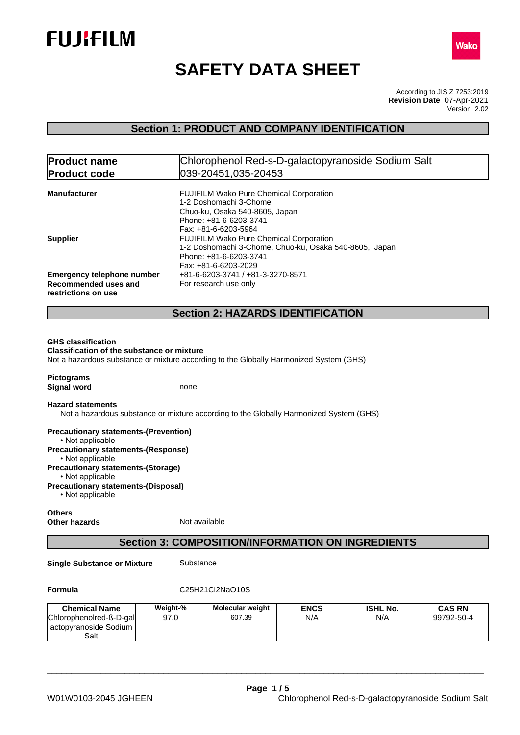



# **SAFETY DATA SHEET**

According to JIS Z 7253:2019 Version 2.02 **Revision Date** 07-Apr-2021

## **Section 1: PRODUCT AND COMPANY IDENTIFICATION**

| <b>Product name</b>                                                                          | Chlorophenol Red-s-D-galactopyranoside Sodium Salt                                                                                                         |
|----------------------------------------------------------------------------------------------|------------------------------------------------------------------------------------------------------------------------------------------------------------|
| <b>Product code</b>                                                                          | 039-20451.035-20453                                                                                                                                        |
| <b>Manufacturer</b>                                                                          | FUJIFILM Wako Pure Chemical Corporation<br>1-2 Doshomachi 3-Chome<br>Chuo-ku, Osaka 540-8605, Japan<br>Phone: +81-6-6203-3741<br>Fax: +81-6-6203-5964      |
| <b>Supplier</b>                                                                              | <b>FUJIFILM Wako Pure Chemical Corporation</b><br>1-2 Doshomachi 3-Chome, Chuo-ku, Osaka 540-8605, Japan<br>Phone: +81-6-6203-3741<br>Fax: +81-6-6203-2029 |
| <b>Emergency telephone number</b><br>Recommended uses and<br>restrictions on use             | +81-6-6203-3741 / +81-3-3270-8571<br>For research use only                                                                                                 |
|                                                                                              | <b>Section 2: HAZARDS IDENTIFICATION</b>                                                                                                                   |
| <b>Classification of the substance or mixture</b><br><b>Pictograms</b><br><b>Signal word</b> | Not a hazardous substance or mixture according to the Globally Harmonized System (GHS)<br>none                                                             |
| <b>Hazard statements</b>                                                                     | Not a hazardous substance or mixture according to the Globally Harmonized System (GHS)                                                                     |
| <b>Precautionary statements-(Prevention)</b><br>• Not applicable                             |                                                                                                                                                            |
| <b>Precautionary statements-(Response)</b><br>• Not applicable                               |                                                                                                                                                            |
| <b>Precautionary statements-(Storage)</b><br>• Not applicable                                |                                                                                                                                                            |
| <b>Precautionary statements-(Disposal)</b><br>• Not applicable                               |                                                                                                                                                            |
| <b>Others</b><br>Other hazards                                                               | Not available                                                                                                                                              |

## **Section 3: COMPOSITION/INFORMATION ON INGREDIENTS**

**Single Substance or Mixture** Substance

## **Formula** C25H21Cl2NaO10S

| <b>Chemical Name</b>                                       | Weight-% | <b>Molecular weight</b> | <b>ENCS</b> | <b>ISHL No.</b> | <b>CAS RN</b> |
|------------------------------------------------------------|----------|-------------------------|-------------|-----------------|---------------|
| Chlorophenolred-ß-D-gal<br>l actopyranoside Sodium<br>Salt | 97.0     | 607.39                  | N/A         | N/A             | 99792-50-4    |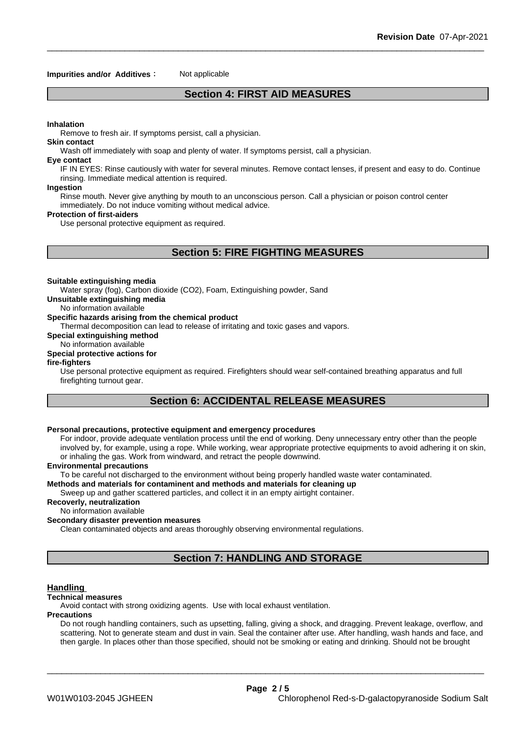### **Impurities and/or Additives**: Not applicable

## **Section 4: FIRST AID MEASURES**

#### **Inhalation**

Remove to fresh air. If symptoms persist, call a physician.

#### **Skin contact**

Wash off immediately with soap and plenty of water. If symptoms persist, calla physician.

#### **Eye contact**

IF IN EYES: Rinse cautiously with water for several minutes. Remove contact lenses, if present and easy to do. Continue rinsing. Immediate medical attention is required.

#### **Ingestion**

Rinse mouth. Never give anything by mouth to an unconscious person. Call a physician or poison control center immediately. Do not induce vomiting without medical advice.

#### **Protection of first-aiders**

Use personal protective equipment as required.

## **Section 5: FIRE FIGHTING MEASURES**

#### **Suitable extinguishing media**

Water spray (fog), Carbon dioxide (CO2), Foam, Extinguishing powder, Sand

**Unsuitable extinguishing media**

No information available

#### **Specific hazards arising from the chemical product**

Thermal decomposition can lead to release of irritating and toxic gases and vapors.

**Special extinguishing method**

## No information available

## **Special protective actions for**

**fire-fighters**

Use personal protective equipment as required. Firefighters should wear self-contained breathing apparatus and full firefighting turnout gear.

## **Section 6: ACCIDENTAL RELEASE MEASURES**

#### **Personal precautions, protective equipment and emergency procedures**

For indoor, provide adequate ventilation process until the end of working. Deny unnecessary entry other than the people involved by, for example, using a rope. While working, wear appropriate protective equipments to avoid adhering it on skin, or inhaling the gas. Work from windward, and retract the people downwind.

#### **Environmental precautions**

To be careful not discharged to the environment without being properly handled waste water contaminated.

#### **Methods and materials for contaminent and methods and materials for cleaning up**

Sweep up and gather scattered particles, and collect it in an empty airtight container.

## **Recoverly, neutralization**

No information available

## **Secondary disaster prevention measures**

Clean contaminated objects and areas thoroughly observing environmental regulations.

## **Section 7: HANDLING AND STORAGE**

#### **Handling**

#### **Technical measures**

Avoid contact with strong oxidizing agents. Use with local exhaust ventilation.

#### **Precautions**

Do not rough handling containers, such as upsetting, falling, giving a shock, and dragging. Prevent leakage, overflow, and scattering. Not to generate steam and dust in vain. Seal the container after use. After handling, wash hands and face, and then gargle. In places other than those specified, should not be smoking or eating and drinking. Should not be brought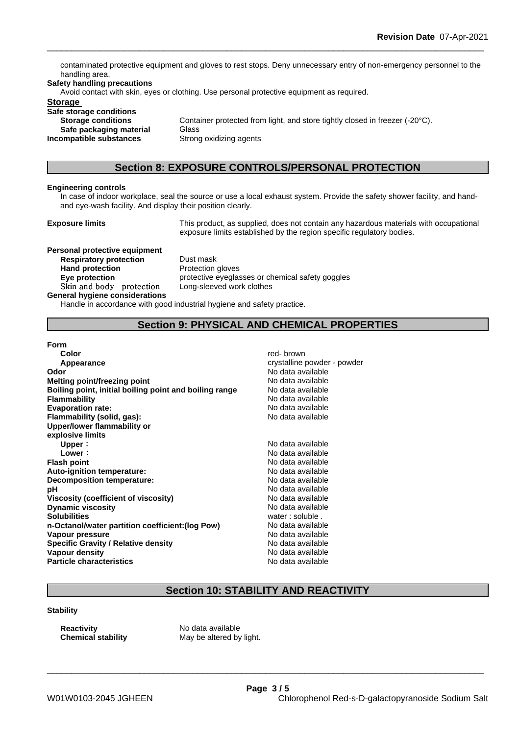contaminated protective equipment and gloves to rest stops. Deny unnecessary entry of non-emergency personnel to the handling area.

#### **Safety handling precautions**

Avoid contact with skin, eyes or clothing. Use personal protective equipment as required.

#### **Storage**

**Safe storage conditions Safe packaging material** Glass

**Storage conditions** Container protected from light, and store tightly closed in freezer (-20°C). **Incompatible substances** Strong oxidizing agents

## **Section 8: EXPOSURE CONTROLS/PERSONAL PROTECTION**

#### **Engineering controls**

In case of indoor workplace, seal the source or use a local exhaust system. Provide the safety shower facility, and handand eye-wash facility. And display their position clearly.

**Exposure limits** This product, as supplied, does not contain any hazardous materials with occupational exposure limits established by the region specific regulatory bodies.

**Personal protective equipment Respiratory protection** Dust mask **Hand protection** Protection gloves **Skinandbody protection** Long-sleeved work clothes **General hygiene considerations**

**Eye protection Eye protective eyeglasses or chemical safety goggles** 

Handle in accordance with good industrial hygiene and safety practice.

## **Section 9: PHYSICAL AND CHEMICAL PROPERTIES**

#### **Form**

| Color                                                  | red-brown                   |
|--------------------------------------------------------|-----------------------------|
| Appearance                                             | crystalline powder - powder |
| Odor                                                   | No data available           |
| Melting point/freezing point                           | No data available           |
| Boiling point, initial boiling point and boiling range | No data available           |
| <b>Flammability</b>                                    | No data available           |
| <b>Evaporation rate:</b>                               | No data available           |
| Flammability (solid, gas):                             | No data available           |
| Upper/lower flammability or                            |                             |
| explosive limits                                       |                             |
| Upper:                                                 | No data available           |
| Lower:                                                 | No data available           |
| <b>Flash point</b>                                     | No data available           |
| Auto-ignition temperature:                             | No data available           |
| <b>Decomposition temperature:</b>                      | No data available           |
| рH                                                     | No data available           |
| Viscosity (coefficient of viscosity)                   | No data available           |
| <b>Dynamic viscosity</b>                               | No data available           |
| <b>Solubilities</b>                                    | water: soluble.             |
| n-Octanol/water partition coefficient: (log Pow)       | No data available           |
| Vapour pressure                                        | No data available           |
| Specific Gravity / Relative density                    | No data available           |
| <b>Vapour density</b>                                  | No data available           |
| <b>Particle characteristics</b>                        | No data available           |

## **Section 10: STABILITY AND REACTIVITY**

\_\_\_\_\_\_\_\_\_\_\_\_\_\_\_\_\_\_\_\_\_\_\_\_\_\_\_\_\_\_\_\_\_\_\_\_\_\_\_\_\_\_\_\_\_\_\_\_\_\_\_\_\_\_\_\_\_\_\_\_\_\_\_\_\_\_\_\_\_\_\_\_\_\_\_\_\_\_\_\_\_\_\_\_\_\_\_\_\_\_

## **Stability**

**Reactivity Reactivity** No data available<br> **Chemical stability** May be altered by

May be altered by light.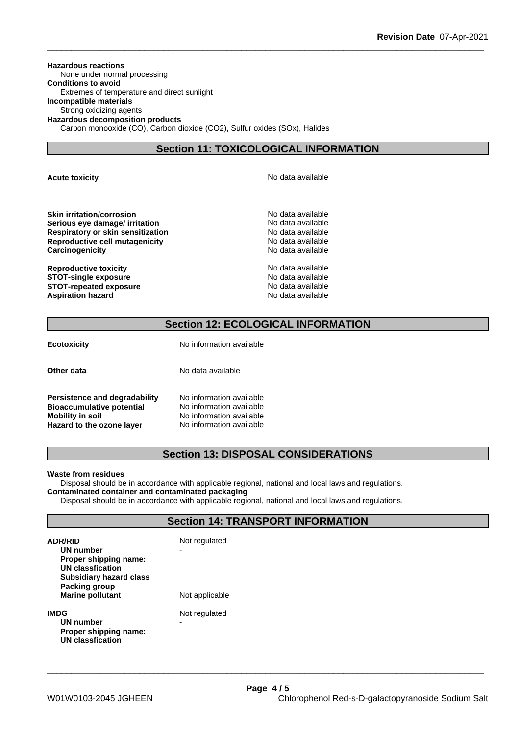**Hazardous reactions** None under normal processing **Conditions to avoid** Extremes of temperature and direct sunlight **Incompatible materials** Strong oxidizing agents **Hazardous decomposition products** Carbon monooxide (CO), Carbon dioxide (CO2), Sulfur oxides (SOx), Halides

## **Section 11: TOXICOLOGICAL INFORMATION**

**Acute toxicity Acute toxicity Acute has available No data available** 

**Skin irritation/corrosion** No data available **Serious eye damage/ irritation No data available No data available Respiratory or skin sensitization**<br> **Reproductive cell mutagenicity**<br> **Reproductive cell mutagenicity Reproductive cell mutagenicity**<br> **Carcinogenicity**<br> **Carcinogenicity**<br> **Carcinogenicity Carcinogenicity** 

**Reproductive toxicity**<br> **STOT-single exposure**<br> **STOT-single exposure STOT-single exposure**<br> **STOT-repeated exposure**<br> **STOT-repeated exposure STOT-repeated exposure**<br> **Aspiration hazard**<br> **Aspiration hazard**<br> **Aspiration hazard Aspiration hazard** 

## **Section 12: ECOLOGICAL INFORMATION**

| Other data                                                                                                         | No data available                                                                                            |  |
|--------------------------------------------------------------------------------------------------------------------|--------------------------------------------------------------------------------------------------------------|--|
| Persistence and degradability<br><b>Bioaccumulative potential</b><br>Mobility in soil<br>Hazard to the ozone layer | No information available<br>No information available<br>No information available<br>No information available |  |

**Ecotoxicity** No information available

## **Section 13: DISPOSAL CONSIDERATIONS**

#### **Waste from residues**

Disposal should be in accordance with applicable regional, national and local laws and regulations.

## **Contaminated container and contaminated packaging**

Disposal should be in accordance with applicable regional, national and local laws and regulations.

## **Section 14: TRANSPORT INFORMATION**

| <b>ADR/RID</b><br>UN number<br>Proper shipping name:<br>UN classfication   | Not regulated      |
|----------------------------------------------------------------------------|--------------------|
| <b>Subsidiary hazard class</b><br>Packing group<br><b>Marine pollutant</b> | Not applicable     |
| IMDG<br>UN number<br>Proper shipping name:<br><b>UN classfication</b>      | Not regulated<br>- |